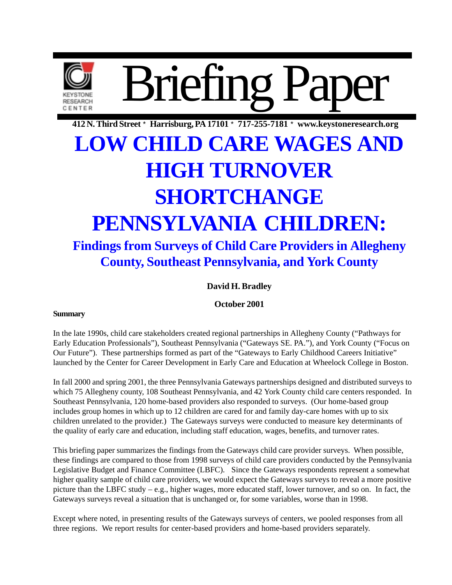

Briefing Pa

**412 N. Third Street** \* **Harrisburg, PA 17101** \* **717-255-7181** \* **www.keystoneresearch.org**

# **LOW CHILD CARE WAGES AND HIGH TURNOVER SHORTCHANGE PENNSYLVANIA CHILDREN:**

## **Findings from Surveys of Child Care Providers in Allegheny County, Southeast Pennsylvania, and York County**

#### **David H. Bradley**

#### **October 2001**

#### **Summary**

In the late 1990s, child care stakeholders created regional partnerships in Allegheny County ("Pathways for Early Education Professionals"), Southeast Pennsylvania ("Gateways SE. PA."), and York County ("Focus on Our Future"). These partnerships formed as part of the "Gateways to Early Childhood Careers Initiative" launched by the Center for Career Development in Early Care and Education at Wheelock College in Boston.

In fall 2000 and spring 2001, the three Pennsylvania Gateways partnerships designed and distributed surveys to which 75 Allegheny county, 108 Southeast Pennsylvania, and 42 York County child care centers responded. In Southeast Pennsylvania, 120 home-based providers also responded to surveys. (Our home-based group includes group homes in which up to 12 children are cared for and family day-care homes with up to six children unrelated to the provider.) The Gateways surveys were conducted to measure key determinants of the quality of early care and education, including staff education, wages, benefits, and turnover rates.

This briefing paper summarizes the findings from the Gateways child care provider surveys. When possible, these findings are compared to those from 1998 surveys of child care providers conducted by the Pennsylvania Legislative Budget and Finance Committee (LBFC). Since the Gateways respondents represent a somewhat higher quality sample of child care providers, we would expect the Gateways surveys to reveal a more positive picture than the LBFC study – e.g., higher wages, more educated staff, lower turnover, and so on. In fact, the Gateways surveys reveal a situation that is unchanged or, for some variables, worse than in 1998.

Except where noted, in presenting results of the Gateways surveys of centers, we pooled responses from all three regions. We report results for center-based providers and home-based providers separately.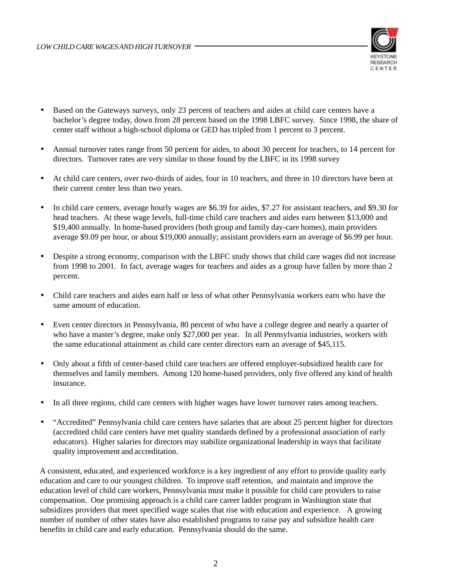

- Based on the Gateways surveys, only 23 percent of teachers and aides at child care centers have a bachelor's degree today, down from 28 percent based on the 1998 LBFC survey. Since 1998, the share of center staff without a high-school diploma or GED has tripled from 1 percent to 3 percent.
- Annual turnover rates range from 50 percent for aides, to about 30 percent for teachers, to 14 percent for directors. Turnover rates are very similar to those found by the LBFC in its 1998 survey
- At child care centers, over two-thirds of aides, four in 10 teachers, and three in 10 directors have been at their current center less than two years.
- In child care centers, average hourly wages are \$6.39 for aides, \$7.27 for assistant teachers, and \$9.30 for head teachers. At these wage levels, full-time child care teachers and aides earn between \$13,000 and \$19,400 annually. In home-based providers (both group and family day-care homes), main providers average \$9.09 per hour, or about \$19,000 annually; assistant providers earn an average of \$6.99 per hour.
- Despite a strong economy, comparison with the LBFC study shows that child care wages did not increase from 1998 to 2001. In fact, average wages for teachers and aides as a group have fallen by more than 2 percent.
- Child care teachers and aides earn half or less of what other Pennsylvania workers earn who have the same amount of education.
- Even center directors in Pennsylvania, 80 percent of who have a college degree and nearly a quarter of who have a master's degree, make only \$27,000 per year. In all Pennsylvania industries, workers with the same educational attainment as child care center directors earn an average of \$45,115.
- Only about a fifth of center-based child care teachers are offered employer-subsidized health care for themselves and family members. Among 120 home-based providers, only five offered any kind of health insurance.
- In all three regions, child care centers with higher wages have lower turnover rates among teachers.
- "Accredited" Pennsylvania child care centers have salaries that are about 25 percent higher for directors (accredited child care centers have met quality standards defined by a professional association of early educators). Higher salaries for directors may stabilize organizational leadership in ways that facilitate quality improvement and accreditation.

A consistent, educated, and experienced workforce is a key ingredient of any effort to provide quality early education and care to our youngest children. To improve staff retention, and maintain and improve the education level of child care workers, Pennsylvania must make it possible for child care providers to raise compensation. One promising approach is a child care career ladder program in Washington state that subsidizes providers that meet specified wage scales that rise with education and experience. A growing number of number of other states have also established programs to raise pay and subsidize health care benefits in child care and early education. Pennsylvania should do the same.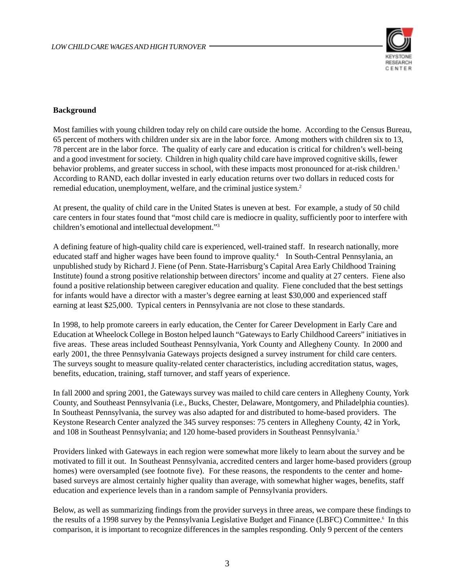

#### **Background**

Most families with young children today rely on child care outside the home. According to the Census Bureau, 65 percent of mothers with children under six are in the labor force. Among mothers with children six to 13, 78 percent are in the labor force. The quality of early care and education is critical for children's well-being and a good investment for society. Children in high quality child care have improved cognitive skills, fewer behavior problems, and greater success in school, with these impacts most pronounced for at-risk children.<sup>1</sup> According to RAND, each dollar invested in early education returns over two dollars in reduced costs for remedial education, unemployment, welfare, and the criminal justice system.<sup>2</sup>

At present, the quality of child care in the United States is uneven at best. For example, a study of 50 child care centers in four states found that "most child care is mediocre in quality, sufficiently poor to interfere with children's emotional and intellectual development."3

A defining feature of high-quality child care is experienced, well-trained staff. In research nationally, more educated staff and higher wages have been found to improve quality.4 In South-Central Pennsylania, an unpublished study by Richard J. Fiene (of Penn. State-Harrisburg's Capital Area Early Childhood Training Institute) found a strong positive relationship between directors' income and quality at 27 centers. Fiene also found a positive relationship between caregiver education and quality. Fiene concluded that the best settings for infants would have a director with a master's degree earning at least \$30,000 and experienced staff earning at least \$25,000. Typical centers in Pennsylvania are not close to these standards.

In 1998, to help promote careers in early education, the Center for Career Development in Early Care and Education at Wheelock College in Boston helped launch "Gateways to Early Childhood Careers" initiatives in five areas. These areas included Southeast Pennsylvania, York County and Allegheny County. In 2000 and early 2001, the three Pennsylvania Gateways projects designed a survey instrument for child care centers. The surveys sought to measure quality-related center characteristics, including accreditation status, wages, benefits, education, training, staff turnover, and staff years of experience.

In fall 2000 and spring 2001, the Gateways survey was mailed to child care centers in Allegheny County, York County, and Southeast Pennsylvania (i.e., Bucks, Chester, Delaware, Montgomery, and Philadelphia counties). In Southeast Pennsylvania, the survey was also adapted for and distributed to home-based providers. The Keystone Research Center analyzed the 345 survey responses: 75 centers in Allegheny County, 42 in York, and 108 in Southeast Pennsylvania; and 120 home-based providers in Southeast Pennsylvania.5

Providers linked with Gateways in each region were somewhat more likely to learn about the survey and be motivated to fill it out. In Southeast Pennsylvania, accredited centers and larger home-based providers (group homes) were oversampled (see footnote five). For these reasons, the respondents to the center and homebased surveys are almost certainly higher quality than average, with somewhat higher wages, benefits, staff education and experience levels than in a random sample of Pennsylvania providers.

Below, as well as summarizing findings from the provider surveys in three areas, we compare these findings to the results of a 1998 survey by the Pennsylvania Legislative Budget and Finance (LBFC) Committee.<sup>6</sup> In this comparison, it is important to recognize differences in the samples responding. Only 9 percent of the centers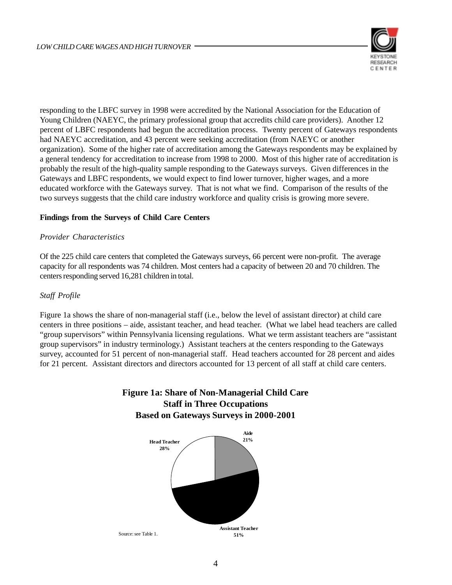

responding to the LBFC survey in 1998 were accredited by the National Association for the Education of Young Children (NAEYC, the primary professional group that accredits child care providers). Another 12 percent of LBFC respondents had begun the accreditation process. Twenty percent of Gateways respondents had NAEYC accreditation, and 43 percent were seeking accreditation (from NAEYC or another organization). Some of the higher rate of accreditation among the Gateways respondents may be explained by a general tendency for accreditation to increase from 1998 to 2000. Most of this higher rate of accreditation is probably the result of the high-quality sample responding to the Gateways surveys. Given differences in the Gateways and LBFC respondents, we would expect to find lower turnover, higher wages, and a more educated workforce with the Gateways survey. That is not what we find. Comparison of the results of the two surveys suggests that the child care industry workforce and quality crisis is growing more severe.

#### **Findings from the Surveys of Child Care Centers**

#### *Provider Characteristics*

Of the 225 child care centers that completed the Gateways surveys, 66 percent were non-profit. The average capacity for all respondents was 74 children. Most centers had a capacity of between 20 and 70 children. The centers responding served 16,281 children in total.

#### *Staff Profile*

Figure 1a shows the share of non-managerial staff (i.e., below the level of assistant director) at child care centers in three positions – aide, assistant teacher, and head teacher. (What we label head teachers are called "group supervisors" within Pennsylvania licensing regulations. What we term assistant teachers are "assistant group supervisors" in industry terminology.) Assistant teachers at the centers responding to the Gateways survey, accounted for 51 percent of non-managerial staff. Head teachers accounted for 28 percent and aides for 21 percent. Assistant directors and directors accounted for 13 percent of all staff at child care centers.



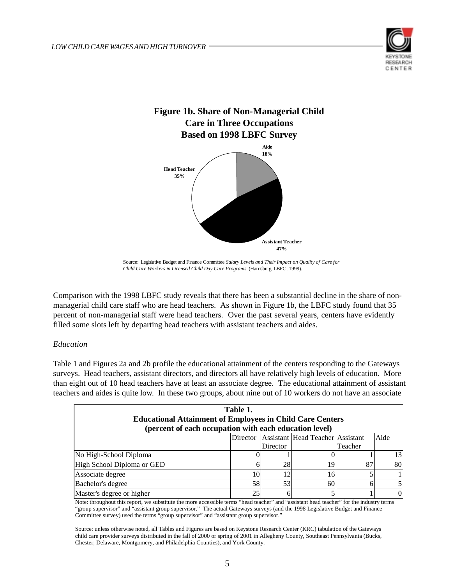

### **Figure 1b. Share of Non-Managerial Child Care in Three Occupations Based on 1998 LBFC Survey**



Source: Legislative Budget and Finance Committee *Salary Levels and Their Impact on Quality of Care for Child Care Workers in Licensed Child Day Care Programs* (Harrisburg: LBFC, 1999).

Comparison with the 1998 LBFC study reveals that there has been a substantial decline in the share of nonmanagerial child care staff who are head teachers. As shown in Figure 1b, the LBFC study found that 35 percent of non-managerial staff were head teachers. Over the past several years, centers have evidently filled some slots left by departing head teachers with assistant teachers and aides.

#### *Education*

Table 1 and Figures 2a and 2b profile the educational attainment of the centers responding to the Gateways surveys. Head teachers, assistant directors, and directors all have relatively high levels of education. More than eight out of 10 head teachers have at least an associate degree. The educational attainment of assistant teachers and aides is quite low. In these two groups, about nine out of 10 workers do not have an associate

| Table 1.<br><b>Educational Attainment of Employees in Child Care Centers</b><br>(percent of each occupation with each education level) |                 |          |    |         |                |  |  |
|----------------------------------------------------------------------------------------------------------------------------------------|-----------------|----------|----|---------|----------------|--|--|
| Director Assistant Head Teacher Assistant<br>Aide                                                                                      |                 |          |    |         |                |  |  |
|                                                                                                                                        |                 | Director |    | Teacher |                |  |  |
| No High-School Diploma                                                                                                                 |                 |          |    |         | 13             |  |  |
| High School Diploma or GED                                                                                                             |                 | 28       | 19 | 87      | 80             |  |  |
| Associate degree                                                                                                                       | 10 <sup>1</sup> | 12       | 16 |         |                |  |  |
| Bachelor's degree                                                                                                                      | 58              | 53       | 60 |         |                |  |  |
| Master's degree or higher                                                                                                              | 25              |          |    |         | $\overline{0}$ |  |  |

Note: throughout this report, we substitute the more accessible terms "head teacher" and "assistant head teacher" for the industry terms "group supervisor" and "assistant group supervisor." The actual Gateways surveys (and the 1998 Legislative Budget and Finance Committee survey) used the terms "group supervisor" and "assistant group supervisor."

Source: unless otherwise noted, all Tables and Figures are based on Keystone Research Center (KRC) tabulation of the Gateways child care provider surveys distributed in the fall of 2000 or spring of 2001 in Allegheny County, Southeast Pennsylvania (Bucks, Chester, Delaware, Montgomery, and Philadelphia Counties), and York County.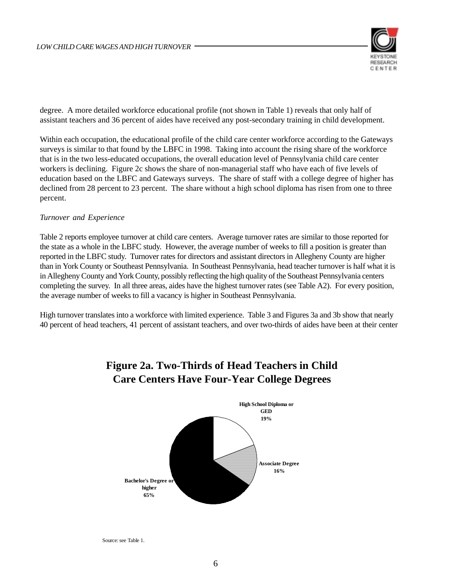

degree. A more detailed workforce educational profile (not shown in Table 1) reveals that only half of assistant teachers and 36 percent of aides have received any post-secondary training in child development.

Within each occupation, the educational profile of the child care center workforce according to the Gateways surveys is similar to that found by the LBFC in 1998. Taking into account the rising share of the workforce that is in the two less-educated occupations, the overall education level of Pennsylvania child care center workers is declining. Figure 2c shows the share of non-managerial staff who have each of five levels of education based on the LBFC and Gateways surveys. The share of staff with a college degree of higher has declined from 28 percent to 23 percent. The share without a high school diploma has risen from one to three percent.

#### *Turnover and Experience*

Table 2 reports employee turnover at child care centers. Average turnover rates are similar to those reported for the state as a whole in the LBFC study. However, the average number of weeks to fill a position is greater than reported in the LBFC study. Turnover rates for directors and assistant directors in Allegheny County are higher than in York County or Southeast Pennsylvania. In Southeast Pennsylvania, head teacher turnover is half what it is in Allegheny County and York County, possibly reflecting the high quality of the Southeast Pennsylvania centers completing the survey. In all three areas, aides have the highest turnover rates (see Table A2). For every position, the average number of weeks to fill a vacancy is higher in Southeast Pennsylvania.

High turnover translates into a workforce with limited experience. Table 3 and Figures 3a and 3b show that nearly 40 percent of head teachers, 41 percent of assistant teachers, and over two-thirds of aides have been at their center



## **Figure 2a. Two-Thirds of Head Teachers in Child Care Centers Have Four-Year College Degrees**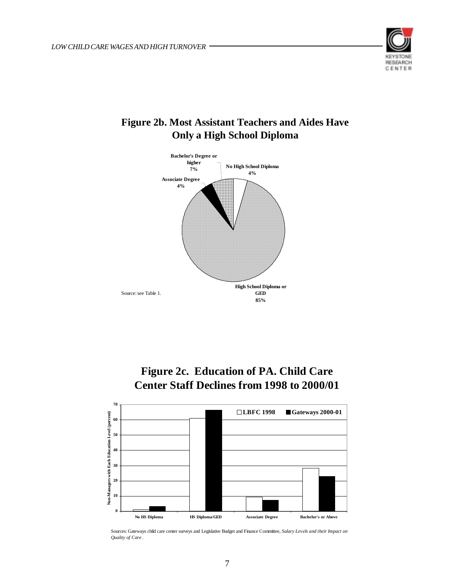

## **Figure 2b. Most Assistant Teachers and Aides Have Only a High School Diploma**







Sources: Gateways child care center surveys and Legislative Budget and Finance Committee, *Salary Levels and their Impact on Quality of Care* .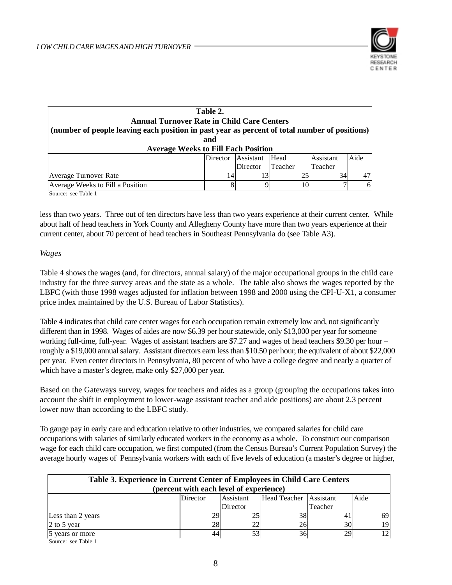

| Table 2.<br><b>Annual Turnover Rate in Child Care Centers</b><br>(number of people leaving each position in past year as percent of total number of positions)<br>and<br><b>Average Weeks to Fill Each Position</b> |                                                           |                |               |               |    |  |  |  |
|---------------------------------------------------------------------------------------------------------------------------------------------------------------------------------------------------------------------|-----------------------------------------------------------|----------------|---------------|---------------|----|--|--|--|
|                                                                                                                                                                                                                     | Aide<br>Assistant<br><b>Assistant</b><br>Head<br>Director |                |               |               |    |  |  |  |
| Average Turnover Rate                                                                                                                                                                                               | 14                                                        | Director<br>13 | Teacher<br>25 | Teacher<br>34 | 47 |  |  |  |
| Average Weeks to Fill a Position                                                                                                                                                                                    |                                                           |                | 10            |               | 6  |  |  |  |

Source: see Table 1

less than two years. Three out of ten directors have less than two years experience at their current center. While about half of head teachers in York County and Allegheny County have more than two years experience at their current center, about 70 percent of head teachers in Southeast Pennsylvania do (see Table A3).

#### *Wages*

Table 4 shows the wages (and, for directors, annual salary) of the major occupational groups in the child care industry for the three survey areas and the state as a whole. The table also shows the wages reported by the LBFC (with those 1998 wages adjusted for inflation between 1998 and 2000 using the CPI-U-X1, a consumer price index maintained by the U.S. Bureau of Labor Statistics).

Table 4 indicates that child care center wages for each occupation remain extremely low and, not significantly different than in 1998. Wages of aides are now \$6.39 per hour statewide, only \$13,000 per year for someone working full-time, full-year. Wages of assistant teachers are \$7.27 and wages of head teachers \$9.30 per hour – roughly a \$19,000 annual salary. Assistant directors earn less than \$10.50 per hour, the equivalent of about \$22,000 per year. Even center directors in Pennsylvania, 80 percent of who have a college degree and nearly a quarter of which have a master's degree, make only \$27,000 per year.

Based on the Gateways survey, wages for teachers and aides as a group (grouping the occupations takes into account the shift in employment to lower-wage assistant teacher and aide positions) are about 2.3 percent lower now than according to the LBFC study.

To gauge pay in early care and education relative to other industries, we compared salaries for child care occupations with salaries of similarly educated workers in the economy as a whole. To construct our comparison wage for each child care occupation, we first computed (from the Census Bureau's Current Population Survey) the average hourly wages of Pennsylvania workers with each of five levels of education (a master's degree or higher,

| Table 3. Experience in Current Center of Employees in Child Care Centers<br>(percent with each level of experience) |          |           |                        |                 |      |  |
|---------------------------------------------------------------------------------------------------------------------|----------|-----------|------------------------|-----------------|------|--|
|                                                                                                                     | Director | Assistant | Head Teacher Assistant |                 | Aide |  |
|                                                                                                                     |          | Director  |                        | Teacher         |      |  |
| Less than 2 years                                                                                                   | 29       |           | 38                     |                 | 69   |  |
| 2 to 5 year                                                                                                         | 28       |           | 26                     | 30              | 19   |  |
| 15 years or more                                                                                                    |          |           | 36                     | 29 <sub>1</sub> | 12   |  |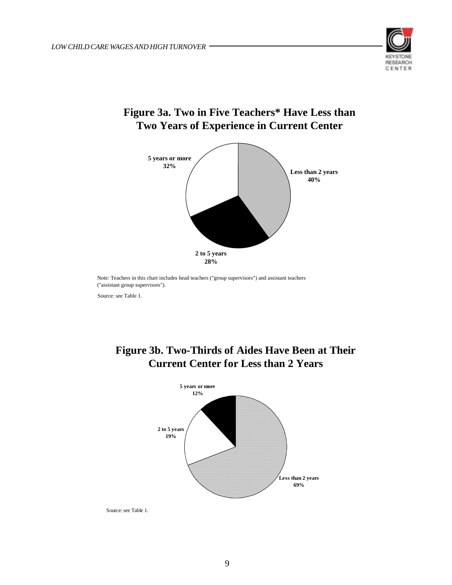

## **Figure 3a. Two in Five Teachers\* Have Less than Two Years of Experience in Current Center**



Note: Teachers in this chart includes head teachers ("group supervisors") and assistant teachers ("assistant group supervisors").

Source: see Table 1.



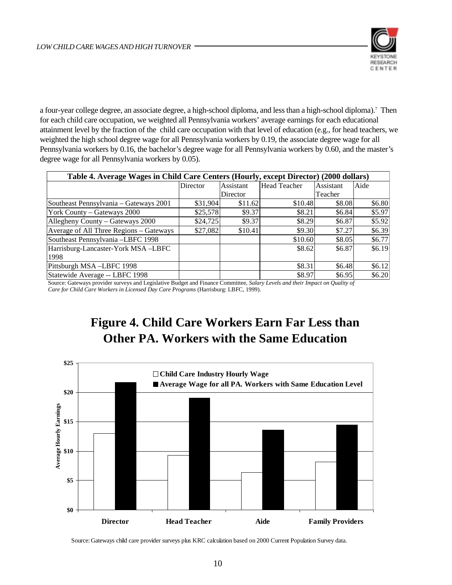

a four-year college degree, an associate degree, a high-school diploma, and less than a high-school diploma).<sup>7</sup> Then for each child care occupation, we weighted all Pennsylvania workers' average earnings for each educational attainment level by the fraction of the child care occupation with that level of education (e.g., for head teachers, we weighted the high school degree wage for all Pennsylvania workers by 0.19, the associate degree wage for all Pennsylvania workers by 0.16, the bachelor's degree wage for all Pennsylvania workers by 0.60, and the master's degree wage for all Pennsylvania workers by 0.05).

| Table 4. Average Wages in Child Care Centers (Hourly, except Director) (2000 dollars) |          |           |                     |           |        |  |  |
|---------------------------------------------------------------------------------------|----------|-----------|---------------------|-----------|--------|--|--|
|                                                                                       | Director | Assistant | <b>Head Teacher</b> | Assistant | Aide   |  |  |
|                                                                                       |          | Director  |                     | Teacher   |        |  |  |
| Southeast Pennsylvania - Gateways 2001                                                | \$31,904 | \$11.62   | \$10.48             | \$8.08    | \$6.80 |  |  |
| York County - Gateways 2000                                                           | \$25,578 | \$9.37    | \$8.21              | \$6.84    | \$5.97 |  |  |
| Allegheny County - Gateways 2000                                                      | \$24,725 | \$9.37    | \$8.29              | \$6.87    | \$5.92 |  |  |
| Average of All Three Regions - Gateways                                               | \$27,082 | \$10.41   | \$9.30              | \$7.27    | \$6.39 |  |  |
| Southeast Pennsylvania-LBFC 1998                                                      |          |           | \$10.60             | \$8.05    | \$6.77 |  |  |
| Harrisburg-Lancaster-York MSA-LBFC                                                    |          |           | \$8.62              | \$6.87    | \$6.19 |  |  |
| 1998                                                                                  |          |           |                     |           |        |  |  |
| Pittsburgh MSA-LBFC 1998                                                              |          |           | \$8.31              | \$6.48    | \$6.12 |  |  |
| Statewide Average -- LBFC 1998                                                        |          |           | \$8.97              | \$6.95    | \$6.20 |  |  |

Source: Gateways provider surveys and Legislative Budget and Finance Committee, *Salary Levels and their Impact on Quality of Care for Child Care Workers in Licensed Day Care Programs* (Harrisburg: LBFC, 1999).

## **Figure 4. Child Care Workers Earn Far Less than Other PA. Workers with the Same Education**



Source: Gateways child care provider surveys plus KRC calculation based on 2000 Current Population Survey data.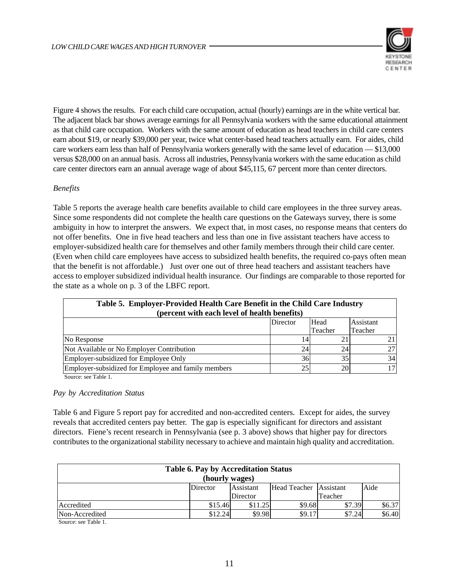

Figure 4 shows the results. For each child care occupation, actual (hourly) earnings are in the white vertical bar. The adjacent black bar shows average earnings for all Pennsylvania workers with the same educational attainment as that child care occupation. Workers with the same amount of education as head teachers in child care centers earn about \$19, or nearly \$39,000 per year, twice what center-based head teachers actually earn. For aides, child care workers earn less than half of Pennsylvania workers generally with the same level of education — \$13,000 versus \$28,000 on an annual basis. Across all industries, Pennsylvania workers with the same education as child care center directors earn an annual average wage of about \$45,115, 67 percent more than center directors.

#### *Benefits*

Table 5 reports the average health care benefits available to child care employees in the three survey areas. Since some respondents did not complete the health care questions on the Gateways survey, there is some ambiguity in how to interpret the answers. We expect that, in most cases, no response means that centers do not offer benefits. One in five head teachers and less than one in five assistant teachers have access to employer-subsidized health care for themselves and other family members through their child care center. (Even when child care employees have access to subsidized health benefits, the required co-pays often mean that the benefit is not affordable.) Just over one out of three head teachers and assistant teachers have access to employer subsidized individual health insurance. Our findings are comparable to those reported for the state as a whole on p. 3 of the LBFC report.

| Table 5. Employer-Provided Health Care Benefit in the Child Care Industry<br>(percent with each level of health benefits) |    |                 |         |    |  |  |
|---------------------------------------------------------------------------------------------------------------------------|----|-----------------|---------|----|--|--|
| Assistant<br>Director<br>Head                                                                                             |    |                 |         |    |  |  |
|                                                                                                                           |    | Teacher         | Teacher |    |  |  |
| No Response                                                                                                               | 14 |                 |         | 21 |  |  |
| Not Available or No Employer Contribution                                                                                 | 24 | 24 <sub>1</sub> |         | 27 |  |  |
| Employer-subsidized for Employee Only                                                                                     | 36 | 35              |         | 34 |  |  |
| Employer-subsidized for Employee and family members                                                                       | 25 | 20              |         | 17 |  |  |

Source: see Table 1.

#### *Pay by Accreditation Status*

Table 6 and Figure 5 report pay for accredited and non-accredited centers. Except for aides, the survey reveals that accredited centers pay better. The gap is especially significant for directors and assistant directors. Fiene's recent research in Pennsylvania (see p. 3 above) shows that higher pay for directors contributes to the organizational stability necessary to achieve and maintain high quality and accreditation.

| <b>Table 6. Pay by Accreditation Status</b><br>(hourly wages) |          |                  |                        |         |        |  |
|---------------------------------------------------------------|----------|------------------|------------------------|---------|--------|--|
|                                                               | Director | <b>Assistant</b> | Head Teacher Assistant |         | Aide   |  |
|                                                               |          | Director         |                        | Teacher |        |  |
| Accredited                                                    | \$15.46  | \$11.25          | \$9.68                 | \$7.39  | \$6.37 |  |
| Non-Accredited                                                | \$12.24  | \$9.98           | \$9.17                 | \$7.24  | \$6.40 |  |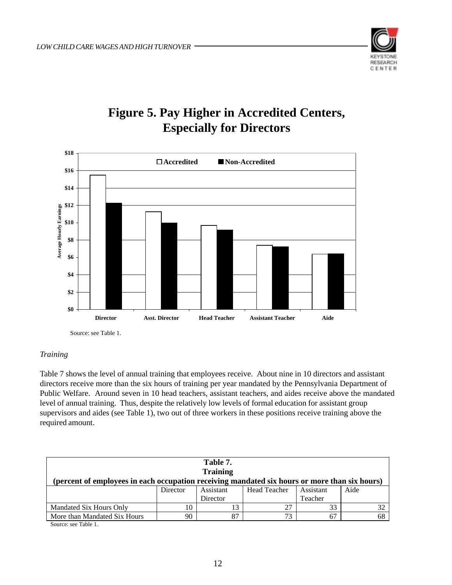

## **Figure 5. Pay Higher in Accredited Centers, Especially for Directors**



#### *Training*

Table 7 shows the level of annual training that employees receive. About nine in 10 directors and assistant directors receive more than the six hours of training per year mandated by the Pennsylvania Department of Public Welfare. Around seven in 10 head teachers, assistant teachers, and aides receive above the mandated level of annual training. Thus, despite the relatively low levels of formal education for assistant group supervisors and aides (see Table 1), two out of three workers in these positions receive training above the required amount.

| Table 7.                                                                                      |          |           |                     |           |      |  |  |  |
|-----------------------------------------------------------------------------------------------|----------|-----------|---------------------|-----------|------|--|--|--|
| <b>Training</b>                                                                               |          |           |                     |           |      |  |  |  |
| (percent of employees in each occupation receiving mandated six hours or more than six hours) |          |           |                     |           |      |  |  |  |
|                                                                                               | Director | Assistant | <b>Head Teacher</b> | Assistant | Aide |  |  |  |
|                                                                                               |          | Director  |                     | Teacher   |      |  |  |  |
| Mandated Six Hours Only                                                                       |          |           | 27                  | 33        | 32   |  |  |  |
| More than Mandated Six Hours                                                                  | 90       | 87        | 73                  | 67        | 68   |  |  |  |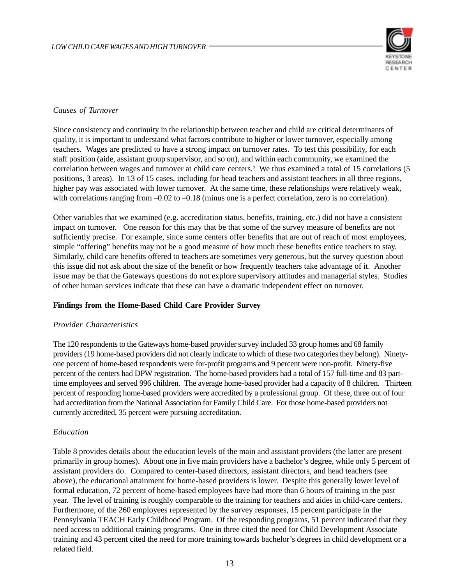

#### *Causes of Turnover*

Since consistency and continuity in the relationship between teacher and child are critical determinants of quality, it is important to understand what factors contribute to higher or lower turnover, especially among teachers. Wages are predicted to have a strong impact on turnover rates. To test this possibility, for each staff position (aide, assistant group supervisor, and so on), and within each community, we examined the correlation between wages and turnover at child care centers.<sup>8</sup> We thus examined a total of 15 correlations (5 positions, 3 areas). In 13 of 15 cases, including for head teachers and assistant teachers in all three regions, higher pay was associated with lower turnover. At the same time, these relationships were relatively weak, with correlations ranging from  $-0.02$  to  $-0.18$  (minus one is a perfect correlation, zero is no correlation).

Other variables that we examined (e.g. accreditation status, benefits, training, etc.) did not have a consistent impact on turnover. One reason for this may that be that some of the survey measure of benefits are not sufficiently precise. For example, since some centers offer benefits that are out of reach of most employees, simple "offering" benefits may not be a good measure of how much these benefits entice teachers to stay. Similarly, child care benefits offered to teachers are sometimes very generous, but the survey question about this issue did not ask about the size of the benefit or how frequently teachers take advantage of it. Another issue may be that the Gateways questions do not explore supervisory attitudes and managerial styles. Studies of other human services indicate that these can have a dramatic independent effect on turnover.

#### **Findings from the Home-Based Child Care Provider Survey**

#### *Provider Characteristics*

The 120 respondents to the Gateways home-based provider survey included 33 group homes and 68 family providers (19 home-based providers did not clearly indicate to which of these two categories they belong). Ninetyone percent of home-based respondents were for-profit programs and 9 percent were non-profit. Ninety-five percent of the centers had DPW registration. The home-based providers had a total of 157 full-time and 83 parttime employees and served 996 children. The average home-based provider had a capacity of 8 children. Thirteen percent of responding home-based providers were accredited by a professional group. Of these, three out of four had accreditation from the National Association for Family Child Care. For those home-based providers not currently accredited, 35 percent were pursuing accreditation.

#### *Education*

Table 8 provides details about the education levels of the main and assistant providers (the latter are present primarily in group homes). About one in five main providers have a bachelor's degree, while only 5 percent of assistant providers do. Compared to center-based directors, assistant directors, and head teachers (see above), the educational attainment for home-based providers is lower. Despite this generally lower level of formal education, 72 percent of home-based employees have had more than 6 hours of training in the past year. The level of training is roughly comparable to the training for teachers and aides in child-care centers. Furthermore, of the 260 employees represented by the survey responses, 15 percent participate in the Pennsylvania TEACH Early Childhood Program. Of the responding programs, 51 percent indicated that they need access to additional training programs. One in three cited the need for Child Development Associate training and 43 percent cited the need for more training towards bachelor's degrees in child development or a related field.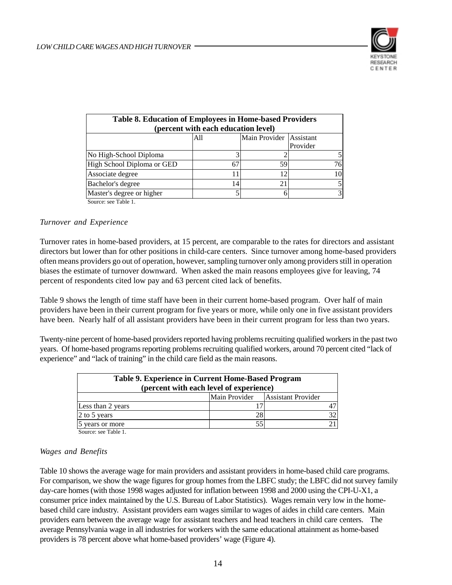

| <b>Table 8. Education of Employees in Home-based Providers</b><br>(percent with each education level) |     |                           |          |  |  |
|-------------------------------------------------------------------------------------------------------|-----|---------------------------|----------|--|--|
|                                                                                                       | All | Main Provider   Assistant |          |  |  |
|                                                                                                       |     |                           | Provider |  |  |
| No High-School Diploma                                                                                |     |                           |          |  |  |
| High School Diploma or GED                                                                            | 67  | 59                        | 76       |  |  |
| Associate degree                                                                                      |     |                           |          |  |  |
| Bachelor's degree                                                                                     | 14  |                           |          |  |  |
| Master's degree or higher<br>$\sim$ $\sim$ $\sim$<br>$-111$                                           |     |                           |          |  |  |

Source: see Table 1.

#### *Turnover and Experience*

Turnover rates in home-based providers, at 15 percent, are comparable to the rates for directors and assistant directors but lower than for other positions in child-care centers. Since turnover among home-based providers often means providers go out of operation, however, sampling turnover only among providers still in operation biases the estimate of turnover downward. When asked the main reasons employees give for leaving, 74 percent of respondents cited low pay and 63 percent cited lack of benefits.

Table 9 shows the length of time staff have been in their current home-based program. Over half of main providers have been in their current program for five years or more, while only one in five assistant providers have been. Nearly half of all assistant providers have been in their current program for less than two years.

Twenty-nine percent of home-based providers reported having problems recruiting qualified workers in the past two years. Of home-based programs reporting problems recruiting qualified workers, around 70 percent cited "lack of experience" and "lack of training" in the child care field as the main reasons.

| Table 9. Experience in Current Home-Based Program<br>(percent with each level of experience) |               |                    |     |  |  |  |  |
|----------------------------------------------------------------------------------------------|---------------|--------------------|-----|--|--|--|--|
|                                                                                              | Main Provider | Assistant Provider |     |  |  |  |  |
| Less than 2 years                                                                            |               |                    |     |  |  |  |  |
| 2 to 5 years                                                                                 | 28            |                    | 321 |  |  |  |  |
| 5 years or more                                                                              | 55            |                    |     |  |  |  |  |

Source: see Table 1.

#### *Wages and Benefits*

Table 10 shows the average wage for main providers and assistant providers in home-based child care programs. For comparison, we show the wage figures for group homes from the LBFC study; the LBFC did not survey family day-care homes (with those 1998 wages adjusted for inflation between 1998 and 2000 using the CPI-U-X1, a consumer price index maintained by the U.S. Bureau of Labor Statistics). Wages remain very low in the homebased child care industry. Assistant providers earn wages similar to wages of aides in child care centers. Main providers earn between the average wage for assistant teachers and head teachers in child care centers. The average Pennsylvania wage in all industries for workers with the same educational attainment as home-based providers is 78 percent above what home-based providers' wage (Figure 4).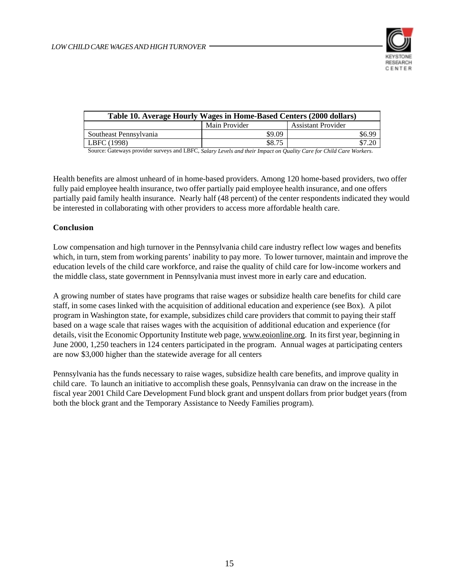

| Table 10. Average Hourly Wages in Home-Based Centers (2000 dollars) |               |                           |  |  |  |  |  |
|---------------------------------------------------------------------|---------------|---------------------------|--|--|--|--|--|
|                                                                     | Main Provider | <b>Assistant Provider</b> |  |  |  |  |  |
| Southeast Pennsylvania                                              | \$9.09        | \$6.99                    |  |  |  |  |  |
| LBFC (1998)                                                         | \$8.75        |                           |  |  |  |  |  |

Source: Gateways provider surveys and LBFC, *Salary Levels and their Impact on Quality Care for Child Care Workers*.

Health benefits are almost unheard of in home-based providers. Among 120 home-based providers, two offer fully paid employee health insurance, two offer partially paid employee health insurance, and one offers partially paid family health insurance. Nearly half (48 percent) of the center respondents indicated they would be interested in collaborating with other providers to access more affordable health care.

#### **Conclusion**

Low compensation and high turnover in the Pennsylvania child care industry reflect low wages and benefits which, in turn, stem from working parents' inability to pay more. To lower turnover, maintain and improve the education levels of the child care workforce, and raise the quality of child care for low-income workers and the middle class, state government in Pennsylvania must invest more in early care and education.

A growing number of states have programs that raise wages or subsidize health care benefits for child care staff, in some cases linked with the acquisition of additional education and experience (see Box). A pilot program in Washington state, for example, subsidizes child care providers that commit to paying their staff based on a wage scale that raises wages with the acquisition of additional education and experience (for details, visit the Economic Opportunity Institute web page, www.eoionline.org. In its first year, beginning in June 2000, 1,250 teachers in 124 centers participated in the program. Annual wages at participating centers are now \$3,000 higher than the statewide average for all centers

Pennsylvania has the funds necessary to raise wages, subsidize health care benefits, and improve quality in child care. To launch an initiative to accomplish these goals, Pennsylvania can draw on the increase in the fiscal year 2001 Child Care Development Fund block grant and unspent dollars from prior budget years (from both the block grant and the Temporary Assistance to Needy Families program).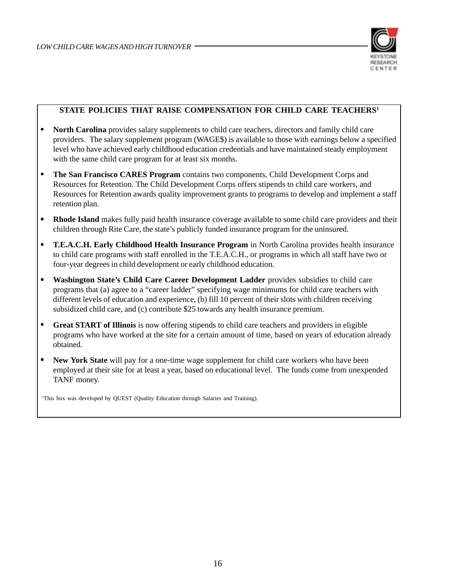

#### **STATE POLICIES THAT RAISE COMPENSATION FOR CHILD CARE TEACHERS1**

- **North Carolina** provides salary supplements to child care teachers, directors and family child care providers. The salary supplement program (WAGE\$) is available to those with earnings below a specified level who have achieved early childhood education credentials and have maintained steady employment with the same child care program for at least six months.
- **The San Francisco CARES Program** contains two components, Child Development Corps and Resources for Retention. The Child Development Corps offers stipends to child care workers, and Resources for Retention awards quality improvement grants to programs to develop and implement a staff retention plan.
- **Rhode Island** makes fully paid health insurance coverage available to some child care providers and their children through Rite Care, the state's publicly funded insurance program for the uninsured.
- **T.E.A.C.H. Early Childhood Health Insurance Program** in North Carolina provides health insurance to child care programs with staff enrolled in the T.E.A.C.H., or programs in which all staff have two or four-year degrees in child development or early childhood education.
- **Washington State's Child Care Career Development Ladder** provides subsidies to child care programs that (a) agree to a "career ladder" specifying wage minimums for child care teachers with different levels of education and experience, (b) fill 10 percent of their slots with children receiving subsidized child care, and (c) contribute \$25 towards any health insurance premium.
- **Great START of Illinois** is now offering stipends to child care teachers and providers in eligible programs who have worked at the site for a certain amount of time, based on years of education already obtained.
- **New York State** will pay for a one-time wage supplement for child care workers who have been employed at their site for at least a year, based on educational level. The funds come from unexpended TANF money.

1 This box was developed by QUEST (Quality Education through Salaries and Training).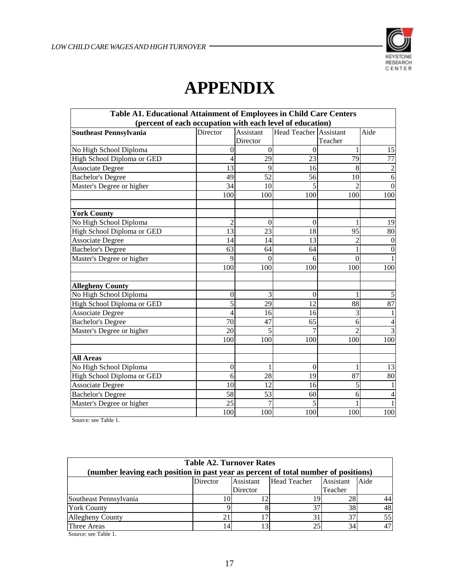

## **APPENDIX**

| Table A1. Educational Attainment of Employees in Child Care Centers |                 |                  |                               |                |                  |  |  |
|---------------------------------------------------------------------|-----------------|------------------|-------------------------------|----------------|------------------|--|--|
| (percent of each occupation with each level of education)           |                 |                  |                               |                |                  |  |  |
| Southeast Pennsylvania                                              | Director        | Assistant        | <b>Head Teacher Assistant</b> |                | Aide             |  |  |
|                                                                     |                 | Director         |                               | Teacher        |                  |  |  |
| No High School Diploma                                              | 0               | $\theta$         | 0                             |                | $\overline{15}$  |  |  |
| High School Diploma or GED                                          |                 | 29               | 23                            | 79             | 77               |  |  |
| <b>Associate Degree</b>                                             | 13              | 9                | 16                            | 8              | $\sqrt{2}$       |  |  |
| <b>Bachelor's Degree</b>                                            | 49              | 52               | 56                            | 10             | 6                |  |  |
| Master's Degree or higher                                           | 34              | 10               |                               |                | $\boldsymbol{0}$ |  |  |
|                                                                     | 100             | 100              | 100                           | 100            | 100              |  |  |
| <b>York County</b>                                                  |                 |                  |                               |                |                  |  |  |
| No High School Diploma                                              | $\overline{2}$  | $\boldsymbol{0}$ | $\boldsymbol{0}$              |                | 19               |  |  |
| High School Diploma or GED                                          | 13              | 23               | 18                            | 95             | 80               |  |  |
| <b>Associate Degree</b>                                             | $\overline{14}$ | 14               | $\overline{13}$               | 2              | $\mathbf{0}$     |  |  |
| <b>Bachelor's Degree</b>                                            | 63              | 64               | 64                            |                | $\boldsymbol{0}$ |  |  |
| Master's Degree or higher                                           | 9               | $\Omega$         | 6                             | $\theta$       | $\mathbf{1}$     |  |  |
|                                                                     | 100             | 100              | 100                           | 100            | 100              |  |  |
| <b>Allegheny County</b>                                             |                 |                  |                               |                |                  |  |  |
| No High School Diploma                                              | 0               | 3                | $\theta$                      |                | $\sqrt{5}$       |  |  |
| High School Diploma or GED                                          | 5               | 29               | 12                            | 88             | 87               |  |  |
| <b>Associate Degree</b>                                             | 4               | 16               | 16                            | 3              | $\mathbf{1}$     |  |  |
| <b>Bachelor's Degree</b>                                            | 70              | 47               | 65                            | 6              | $\overline{4}$   |  |  |
| Master's Degree or higher                                           | 20              | 5                | 7                             | $\mathfrak{D}$ | $\overline{3}$   |  |  |
|                                                                     | 100             | 100              | 100                           | 100            | 100              |  |  |
| <b>All Areas</b>                                                    |                 |                  |                               |                |                  |  |  |
| No High School Diploma                                              | $\overline{0}$  |                  | $\mathbf{0}$                  |                | 13               |  |  |
| High School Diploma or GED                                          | 6               | 28               | 19                            | 87             | 80               |  |  |
| <b>Associate Degree</b>                                             | 10              | 12               | $\overline{16}$               | 5              | $\mathbf{1}$     |  |  |
| Bachelor's Degree                                                   | 58              | 53               | 60                            | 6              | $\overline{4}$   |  |  |
| Master's Degree or higher                                           | 25              | $\overline{7}$   | 5                             |                | $\mathbf{1}$     |  |  |
|                                                                     | 100             | 100              | 100                           | 100            | 100              |  |  |

Source: see Table 1.

| <b>Table A2. Turnover Rates</b><br>(number leaving each position in past year as percent of total number of positions) |          |                  |              |           |      |  |  |
|------------------------------------------------------------------------------------------------------------------------|----------|------------------|--------------|-----------|------|--|--|
|                                                                                                                        | Director | <b>Assistant</b> | Head Teacher | Assistant | Aide |  |  |
|                                                                                                                        |          | Director         |              | Teacher   |      |  |  |
| Southeast Pennsylvania                                                                                                 |          |                  |              | 28        | 44   |  |  |
| <b>York County</b>                                                                                                     |          |                  |              | 38        | 48   |  |  |
| Allegheny County                                                                                                       | 21       |                  |              |           | 55   |  |  |
| Three Areas                                                                                                            | 14       |                  |              | 34        | 47   |  |  |
| Source: see Table 1                                                                                                    |          |                  |              |           |      |  |  |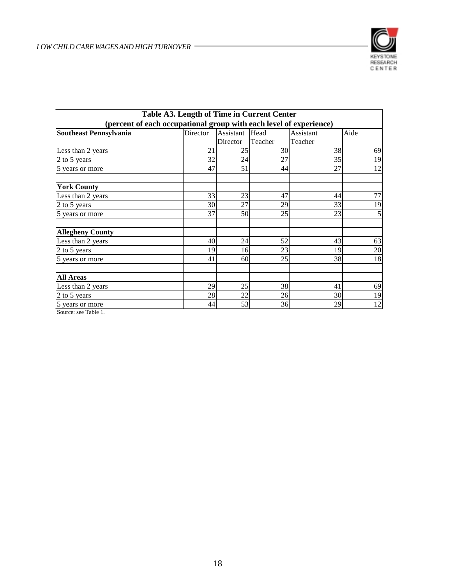

| Table A3. Length of Time in Current Center<br>(percent of each occupational group with each level of experience) |    |          |         |         |                |
|------------------------------------------------------------------------------------------------------------------|----|----------|---------|---------|----------------|
|                                                                                                                  |    |          |         |         |                |
|                                                                                                                  |    | Director | Teacher | Teacher |                |
| Less than 2 years                                                                                                | 21 | 25       | 30      | 38      | 69             |
| 2 to 5 years                                                                                                     | 32 | 24       | 27      | 35      | 19             |
| 5 years or more                                                                                                  | 47 | 51       | 44      | 27      | 12             |
| <b>York County</b>                                                                                               |    |          |         |         |                |
| Less than 2 years                                                                                                | 33 | 23       | 47      | 44      | 77             |
| 2 to 5 years                                                                                                     | 30 | 27       | 29      | 33      | 19             |
| 5 years or more                                                                                                  | 37 | 50       | 25      | 23      | 5 <sup>1</sup> |
| <b>Allegheny County</b>                                                                                          |    |          |         |         |                |
| Less than 2 years                                                                                                | 40 | 24       | 52      | 43      | 63             |
| 2 to 5 years                                                                                                     | 19 | 16       | 23      | 19      | 20             |
| 5 years or more                                                                                                  | 41 | 60       | 25      | 38      | 18             |
| <b>All Areas</b>                                                                                                 |    |          |         |         |                |
| Less than 2 years                                                                                                | 29 | 25       | 38      | 41      | 69             |
| 2 to 5 years                                                                                                     | 28 | 22       | 26      | 30      | 19             |
| 5 years or more                                                                                                  | 44 | 53       | 36      | 29      | 12             |